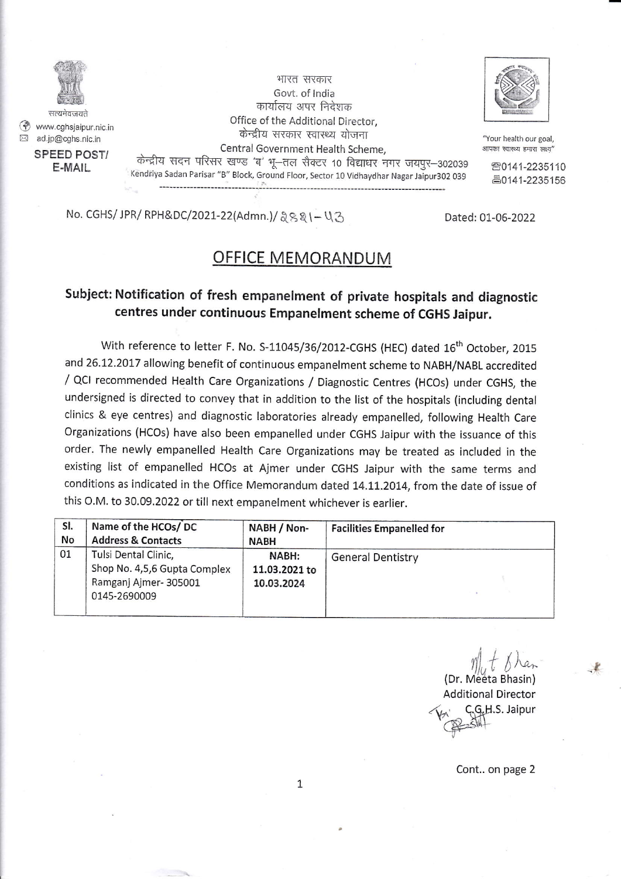

@ www.cghsjaipur.nic in E ad.jp@cqhs.nic.in

SPEED POST/ E.MAIL

भारत सरकार Govt. of India कार्यालय अपर निदेशक Office of the Additional Director, केन्द्रीय सरकार स्वास्थ्य योजना Central Government Health Scheme, केन्द्रीय सदन परिसर खण्ड 'ब' भू-तल सैक्टर 10 विद्याधर नगर जयपुर-302039 Kendriya Sadan Parisar "B" Block, Ground Floor, Sector 10 Vidhaydhar Nagar Jaipur302 039



"Your health our goal, आपका स्वास्थ्य हमारा लक्ष्य"

80141-2235110 80141-2235156

No. CGHS/ JPR/ RPH&DC/2021-22(Admn.)/ & g & 1- U 3 Dated: 01-06-2022

## subject: Notification of fresh empanelment of private hospitals and diagnostic centres under continuous Empanelment scheme of CGHS Jaipur.

OFFICE MEMORANDUM

With reference to letter F. No. S-11045/36/2012-CGHS (HEC) dated 16<sup>th</sup> October, 2015 and 26.12.2017 allowing benefit of continuous empanelment scheme to NABH/NABL accredited / QCI recommended Health care organizations / Diagnostic centres (Hcos) under cGHs, the undersigned is directed to convey that in addition to the list of the hospitals (including dental clinics & eye centres) and diagnostic laboratories already empanelled, following Health care Organizations (HCOs) have also been empanelled under CGHS Jaipur with the issuance of this order. The newly empanelled Health care organizations may be treated as included in the existing list of empanelled Hcos at Ajmer under CGHS Jaipur with the same terms and conditions as indicated in the office Memorandum dated 14.11.2014, from the date of issue of this O.M. to 30.09,2022 or till next empanelment whichever is earlier.

| SI. | Name of the HCOs/DC                                                                          | NABH / Non-                          | <b>Facilities Empanelled for</b> |
|-----|----------------------------------------------------------------------------------------------|--------------------------------------|----------------------------------|
| No  | <b>Address &amp; Contacts</b>                                                                | <b>NABH</b>                          |                                  |
| 01  | Tulsi Dental Clinic,<br>Shop No. 4,5,6 Gupta Complex<br>Ramganj Ajmer-305001<br>0145-2690009 | NABH:<br>11.03.2021 to<br>10.03.2024 | <b>General Dentistry</b>         |

 $\eta|_q$  t  $\delta$  han (Dr. Meeta Bhasin) Additional Director C.G.H.S. Jaipur  $Q \rightarrow Sh$ 

t

Cont.. on page 2